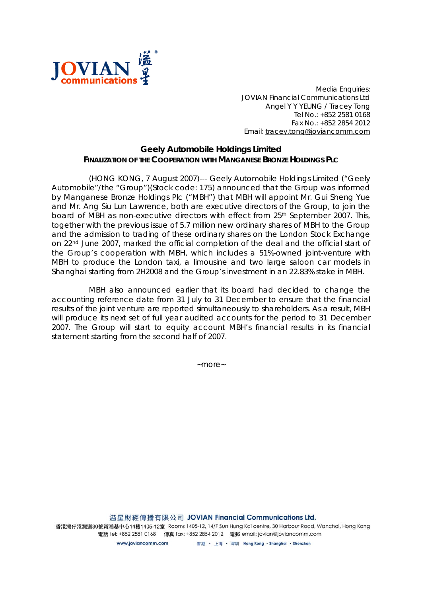

*Media Enquiries: JOVIAN Financial Communications Ltd Angel Y Y YEUNG / Tracey Tong Tel No.: +852 2581 0168 Fax No.: +852 2854 2012 Email: tracey.tong@joviancomm.com*

## **Geely Automobile Holdings Limited FINALIZATION OF THE COOPERATION WITH MANGANESE BRONZE HOLDINGS PLC**

(HONG KONG, 7 August 2007)--- Geely Automobile Holdings Limited ("Geely Automobile"/the "Group")(Stock code: 175) announced that the Group was informed by Manganese Bronze Holdings Plc ("MBH") that MBH will appoint Mr. Gui Sheng Yue and Mr. Ang Siu Lun Lawrence, both are executive directors of the Group, to join the board of MBH as non-executive directors with effect from 25<sup>th</sup> September 2007. This, together with the previous issue of 5.7 million new ordinary shares of MBH to the Group and the admission to trading of these ordinary shares on the London Stock Exchange on 22nd June 2007, marked the official completion of the deal and the official start of the Group's cooperation with MBH, which includes a 51%-owned joint-venture with MBH to produce the London taxi, a limousine and two large saloon car models in Shanghai starting from 2H2008 and the Group's investment in an 22.83% stake in MBH.

MBH also announced earlier that its board had decided to change the accounting reference date from 31 July to 31 December to ensure that the financial results of the joint venture are reported simultaneously to shareholders. As a result, MBH will produce its next set of full year audited accounts for the period to 31 December 2007. The Group will start to equity account MBH's financial results in its financial statement starting from the second half of 2007.

*~more~*

溢星財經傳播有限公司 JOVIAN Financial Communications Ltd.

香港濃仔港濃道30號新鴻基中心14樓1405-12室 Rooms 1405-12, 14/F Sun Hung Kai centre, 30 Harbour Road, Wanchai, Hong Kong 電話 tel: +852 2581 0168 傳真 fax: +852 2854 2012 電郵 email: jovian@joviancomm.com

> 香港 ・ 上海 ・ 深圳 Hong Kong ・Shanghai ・Shenzhen www.joviancomm.com